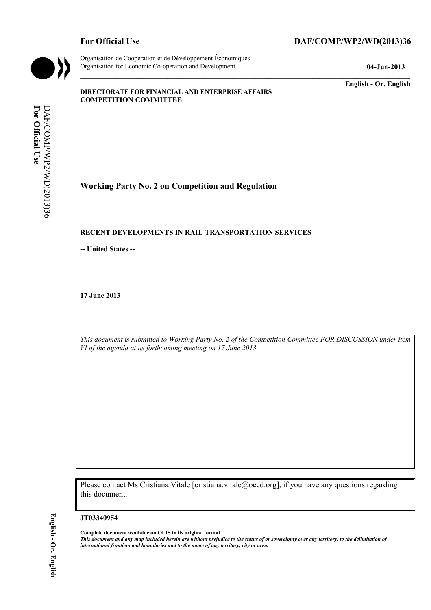Organisation de Coopération et de Développement Économiques Organisation for Economic Co-operation and Development **04-Jun-2013** 

# For Official Use DAF/COMP/WP2/WD(2013)36

**English - Or. English** 

#### **DIRECTORATE FOR FINANCIAL AND ENTERPRISE AFFAIRS COMPETITION COMMITTEE**

For Official Use DAF/COMP/WP2/WD(2013)36 DAF/COMP/WP2/WD(2013)36 **For Official Use** 

**Working Party No. 2 on Competition and Regulation** 

### **RECENT DEVELOPMENTS IN RAIL TRANSPORTATION SERVICES**

 **-- United States --**

**17 June 2013** 

*This document is submitted to Working Party No. 2 of the Competition Committee FOR DISCUSSION under item VI of the agenda at its forthcoming meeting on 17 June 2013.* 

Please contact Ms Cristiana Vitale [cristiana.vitale@oecd.org], if you have any questions regarding this document.

#### **JT03340954**

 **Complete document available on OLIS in its original format** 

 *This document and any map included herein are without prejudice to the status of or sovereignty over any territory, to the delimitation of international frontiers and boundaries and to the name of any territory, city or area.*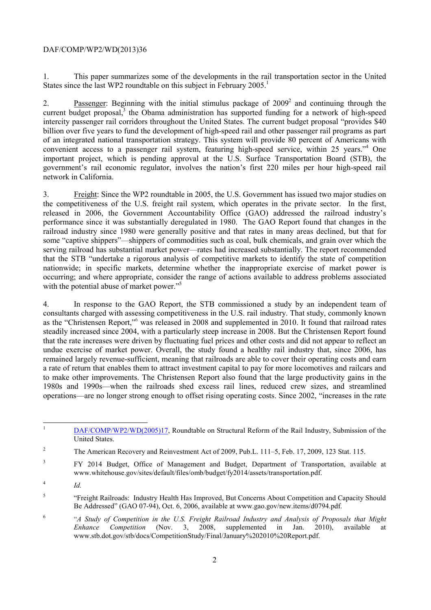## DAF/COMP/WP2/WD(2013)36

1. This paper summarizes some of the developments in the rail transportation sector in the United States since the last WP2 roundtable on this subject in February 2005.<sup>1</sup>

2. Passenger: Beginning with the initial stimulus package of 2009<sup>2</sup> and continuing through the current budget proposal,<sup>3</sup> the Obama administration has supported funding for a network of high-speed intercity passenger rail corridors throughout the United States. The current budget proposal "provides \$40 billion over five years to fund the development of high-speed rail and other passenger rail programs as part of an integrated national transportation strategy. This system will provide 80 percent of Americans with convenient access to a passenger rail system, featuring high-speed service, within 25 years."4 One important project, which is pending approval at the U.S. Surface Transportation Board (STB), the government's rail economic regulator, involves the nation's first 220 miles per hour high-speed rail network in California.

 performance since it was substantially deregulated in 1980. The GAO Report found that changes in the serving railroad has substantial market power—rates had increased substantially. The report recommended with the potential abuse of market power."<sup>5</sup> 3. Freight: Since the WP2 roundtable in 2005, the U.S. Government has issued two major studies on the competitiveness of the U.S. freight rail system, which operates in the private sector. In the first, released in 2006, the Government Accountability Office (GAO) addressed the railroad industry's railroad industry since 1980 were generally positive and that rates in many areas declined, but that for some "captive shippers"—shippers of commodities such as coal, bulk chemicals, and grain over which the that the STB "undertake a rigorous analysis of competitive markets to identify the state of competition nationwide; in specific markets, determine whether the inappropriate exercise of market power is occurring; and where appropriate, consider the range of actions available to address problems associated

 4. In response to the GAO Report, the STB commissioned a study by an independent team of as the "Christensen Report,"<sup>6</sup> was released in 2008 and supplemented in 2010. It found that railroad rates consultants charged with assessing competitiveness in the U.S. rail industry. That study, commonly known steadily increased since 2004, with a particularly steep increase in 2008. But the Christensen Report found that the rate increases were driven by fluctuating fuel prices and other costs and did not appear to reflect an undue exercise of market power. Overall, the study found a healthy rail industry that, since 2006, has remained largely revenue-sufficient, meaning that railroads are able to cover their operating costs and earn a rate of return that enables them to attract investment capital to pay for more locomotives and railcars and to make other improvements. The Christensen Report also found that the large productivity gains in the 1980s and 1990s—when the railroads shed excess rail lines, reduced crew sizes, and streamlined operations—are no longer strong enough to offset rising operating costs. Since 2002, "increases in the rate

 $^{4}$  *Id.* 

<sup>6</sup> "*A Study of Competition in the U.S. Freight Railroad Industry and Analysis of Proposals that Might Enhance Competition* (Nov. 3, 2008, supplemented in Jan. 2010), available at www.stb.dot.gov/stb/docs/CompetitionStudy/Final/January%202010%20Report.pdf.

<sup>1</sup> DAF/COMP/WP2/WD(2005)17, Roundtable on Structural Reform of the Rail Industry, Submission of the United States.

 $\overline{c}$ 2 The American Recovery and Reinvestment Act of 2009, Pub.L. 111–5, Feb. 17, 2009, 123 Stat. 115.

<sup>&</sup>lt;sup>3</sup> FY 2014 Budget, Office of Management and Budget, Department of Transportation, available at www.whitehouse.gov/sites/default/files/omb/budget/fy2014/assets/transportation.pdf.

<sup>5 &</sup>quot;Freight Railroads: Industry Health Has Improved, But Concerns About Competition and Capacity Should Be Addressed" (GAO 07-94), Oct. 6, 2006, available at www.gao.gov/new.items/d0794.pdf.